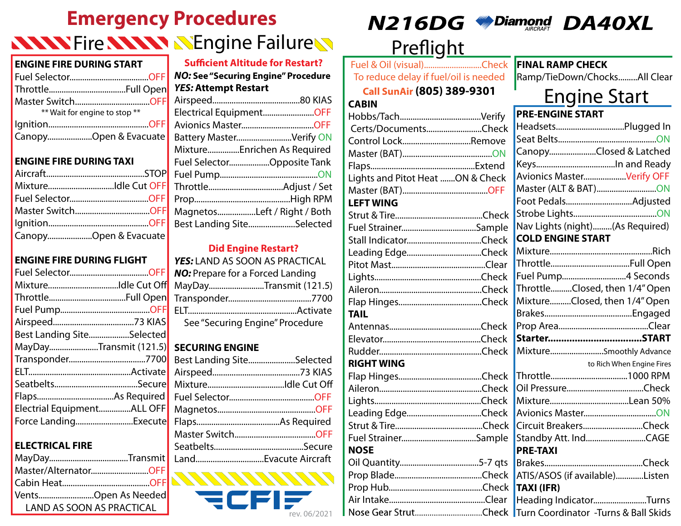# **Emergency Procedures NNNY Fire NNNNNY SEngine FailureN**

#### **ENGINE FIRE DURING START**

| ** Wait for engine to stop ** |  |
|-------------------------------|--|
|                               |  |
| CanopyOpen & Evacuate         |  |

### **ENGINE FIRE DURING TAXI**

| MixtureIdle Cut OFF   |
|-----------------------|
|                       |
| Master SwitchOFF      |
|                       |
| CanopyOpen & Evacuate |

### **ENGINE FIRE DURING FLIGHT**

| MixtureIdle Cut Off        |  |
|----------------------------|--|
|                            |  |
|                            |  |
|                            |  |
| Best Landing SiteSelected  |  |
| MayDayTransmit (121.5)     |  |
|                            |  |
|                            |  |
|                            |  |
|                            |  |
| Electrial EquipmentALL OFF |  |
| Force LandingExecute       |  |

### **ELECTRICAL FIRE**

| Master/AlternatorOFF             |
|----------------------------------|
|                                  |
| VentsOpen As Needed              |
| <b>LAND AS SOON AS PRACTICAL</b> |

| <b>Sufficient Altitude for Restart?</b>    |  |
|--------------------------------------------|--|
| <b>NO: See "Securing Engine" Procedure</b> |  |
| <b>YES: Attempt Restart</b>                |  |
|                                            |  |
| Electrical EquipmentOFF                    |  |
|                                            |  |
| Battery MasterVerify ON                    |  |
| MixtureEnrichen As Required                |  |
| Fuel SelectorOpposite Tank                 |  |
|                                            |  |
|                                            |  |
|                                            |  |
| MagnetosLeft / Right / Both                |  |
| Best Landing SiteSelected                  |  |
|                                            |  |

### **Did Engine Restart?**

| YES: LAND AS SOON AS PRACTICAL          |
|-----------------------------------------|
| <b>NO:</b> Prepare for a Forced Landing |
| MayDayTransmit (121.5)                  |
|                                         |
|                                         |
| See "Securing Engine" Procedure         |

### **SECURING ENGINE**

| Best Landing SiteSelected |  |
|---------------------------|--|
|                           |  |
|                           |  |
|                           |  |
|                           |  |
|                           |  |
|                           |  |
|                           |  |
|                           |  |



## $N216DG$  *M*Diamond  $DA40XL$





# Preflight

Fuel & Oil (visual)...........................Check To reduce delay if fuel/oil is needed

**Call SunAir (805) 389-9301**

#### **CABIN**

| Certs/DocumentsCheck             |  |
|----------------------------------|--|
| Control LockRemove               |  |
|                                  |  |
|                                  |  |
| Lights and Pitot Heat ON & Check |  |
|                                  |  |
| <b>LEFT WING</b>                 |  |
|                                  |  |
|                                  |  |
|                                  |  |
| Leading EdgeCheck                |  |
|                                  |  |
|                                  |  |
|                                  |  |
|                                  |  |
| <b>TAIL</b>                      |  |
|                                  |  |
|                                  |  |
|                                  |  |
| <b>RIGHT WING</b>                |  |
|                                  |  |
|                                  |  |
|                                  |  |
| Leading EdgeCheck                |  |
|                                  |  |
| Fuel StrainerSample              |  |
| <b>NOSE</b>                      |  |
|                                  |  |
|                                  |  |
|                                  |  |
|                                  |  |
|                                  |  |

#### **FINAL RAMP CHECK**

Ramp/TieDown/Chocks.........All Clear

# Engine Start

#### **PRE-ENGINE START** Headsets................................Plugged In Seat Belts..............................................ON Canopy......................Closed & Latched Keys.....................................In and Ready Avionics Master....................Verify OFF Master (ALT & BAT)............................ON Foot Pedals...............................Adjusted Strobe Lights.......................................ON Nav Lights (night).........(As Required) **COLD ENGINE START** Mixture................................................Rich Throttle.....................................Full Open Fuel Pump..............................4 Seconds Throttle..........Closed, then 1/4" Open Mixture..........Closed, then 1/4" Open Brakes.........................................Engaged Prop Area..........................................Clear **Starter...................................START** Mixture.........................Smoothly Advance to Rich When Engine Fires Throttle....................................1000 RPM Oil Pressure....................................Check Mixture.....................................Lean 50% Avionics Master..................................ON Circuit Breakers............................Check Standby Att. Ind............................CAGE **PRE-TAXI** Brakes..............................................Check ATIS/ASOS (if available).............Listen **TAXI (IFR)** Heading Indicator.........................Turns Turn Coordinator -Turns & Ball Skids